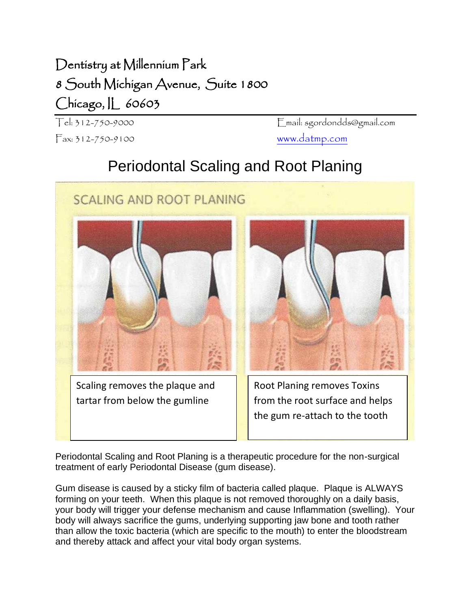## Dentistry at Millennium Park 8 South Michigan Avenue, Suite 1800 Chicago, IL 60603

Fax: 312-750-9100 [www.datmp.com](http://www.datmp.com/)

Tel: 312-750-9000 Email: sgordondds@gmail.com

## Periodontal Scaling and Root Planing



Periodontal Scaling and Root Planing is a therapeutic procedure for the non-surgical treatment of early Periodontal Disease (gum disease).

Gum disease is caused by a sticky film of bacteria called plaque. Plaque is ALWAYS forming on your teeth. When this plaque is not removed thoroughly on a daily basis, your body will trigger your defense mechanism and cause Inflammation (swelling). Your body will always sacrifice the gums, underlying supporting jaw bone and tooth rather than allow the toxic bacteria (which are specific to the mouth) to enter the bloodstream and thereby attack and affect your vital body organ systems.